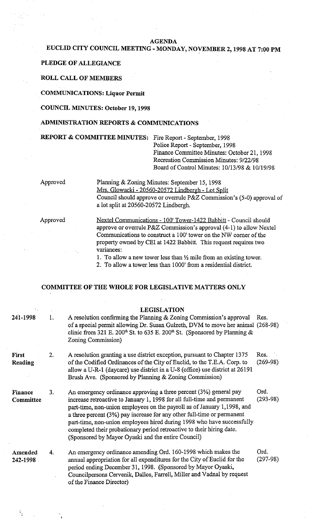#### **AGENDA**

# **EUCLID CITY COUNCIL MEETING** - **MONDAY, NOVEMBER 2,1998 AT 7:00 PM**

## **PLEDGE OF ALLEGIANCE**

## **ROLL CALL OF MEMBERS**

### **COMMUNICATIONS: Liquor Permit**

#### **COUNCIL MINUTES: October 19,1998**

### **ADMINISTRATION REPORTS** & **COMMUNICATIONS**

**REPORT** & **COMMITTEE MINUTES:** Fire Report - September, 1998

Police Report - September, 1998 Finance Committee Minutes: October 21, 1998 Recreation Commission Minutes: 9/22/98 Board of Control Minutes: 10/13/98 & 10/19/98

Approved Planning & Zoning Minutes: September 15, 1998 Mrs. Glowacki - 20560-20572 Lindbergh - Lot Split Council should approve or overrule P&Z Commission's (5-0) approval of a lot split at 20560-20572 Lindbergh.

Approved Nextel Communications - 100' Tower-1422 Babbitt - Council should approve or overrule P&Z Commission's approval (4-1) to allow Nextel Communications to construct a 100' tower on the NW corner of the property owned by CEI at 1422 Babbitt. This request requires two variances:

1. To allow a new tower less than  $\frac{1}{2}$  mile from an existing tower.

2. To allow a tower less than 1000' from a residential district.

#### **COMMITTEE OF THE WHOLE FOR LEGISLATIVE MATTERS ONLY**

|                             |    | <b>LEGISLATION</b>                                                                                                                                                                                                                                                                                                                                                                                                                                                                                         |                    |
|-----------------------------|----|------------------------------------------------------------------------------------------------------------------------------------------------------------------------------------------------------------------------------------------------------------------------------------------------------------------------------------------------------------------------------------------------------------------------------------------------------------------------------------------------------------|--------------------|
| 241-1998                    | 1. | A resolution confirming the Planning & Zoning Commission's approval<br>of a special permit allowing Dr. Susan Gulzeth, DVM to move her animal (268-98)<br>clinic from 321 E. 200 <sup>th</sup> St. to 635 E. 200 <sup>th</sup> St. (Sponsored by Planning &<br>Zoning Commission)                                                                                                                                                                                                                          | Res.               |
| <b>First</b><br>Reading     | 2. | A resolution granting a use district exception, pursuant to Chapter 1375<br>of the Codified Ordinances of the City of Euclid, to the T.E.A. Corp. to<br>allow a U-R-1 (daycare) use district in a U-8 (office) use district at 26191<br>Brush Ave. (Sponsored by Planning & Zoning Commission)                                                                                                                                                                                                             | Res.<br>$(269-98)$ |
| <b>Finance</b><br>Committee | 3. | An emergency ordinance approving a three percent (3%) general pay<br>increase retroactive to January 1, 1998 for all full-time and permanent<br>part-time, non-union employees on the payroll as of January 1,1998, and<br>a three percent (3%) pay increase for any other full-time or permanent<br>part-time, non-union employees hired during 1998 who have successfully<br>completed their probationary period retroactive to their hiring date.<br>(Sponsored by Mayor Oyaski and the entire Council) | Ord.<br>$(293-98)$ |
| Amended<br>242-1998         | 4. | An emergency ordinance amending Ord. 160-1998 which makes the<br>annual appropriation for all expenditures for the City of Euclid for the<br>period ending December 31, 1998. (Sponsored by Mayor Oyaski,<br>Councilpersons Cervenik, Dallos, Farrell, Miller and Vadnal by request<br>of the Finance Director)                                                                                                                                                                                            | Ord.<br>$(297-98)$ |